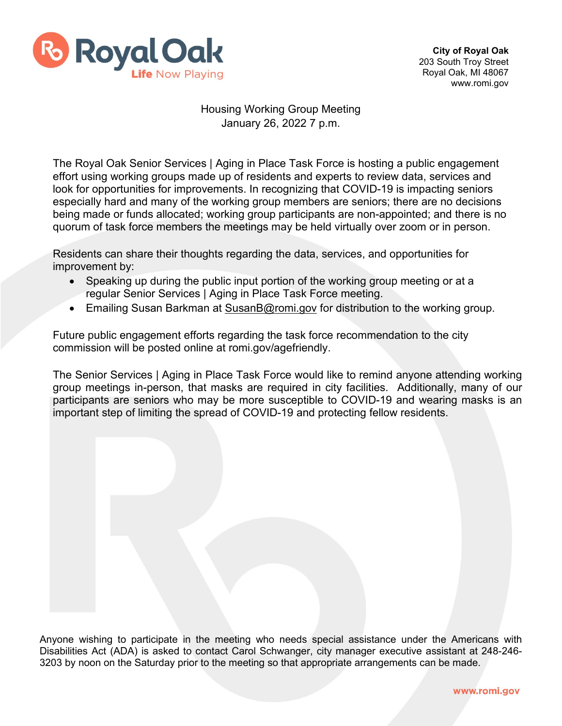

## Housing Working Group Meeting January 26, 2022 7 p.m.

The Royal Oak Senior Services | Aging in Place Task Force is hosting a public engagement effort using working groups made up of residents and experts to review data, services and look for opportunities for improvements. In recognizing that COVID-19 is impacting seniors especially hard and many of the working group members are seniors; there are no decisions being made or funds allocated; working group participants are non-appointed; and there is no quorum of task force members the meetings may be held virtually over zoom or in person.

Residents can share their thoughts regarding the data, services, and opportunities for improvement by:

- Speaking up during the public input portion of the working group meeting or at a regular Senior Services | Aging in Place Task Force meeting.
- Emailing Susan Barkman at [SusanB@romi.gov](mailto:SusanB@romi.gov) for distribution to the working group.

Future public engagement efforts regarding the task force recommendation to the city commission will be posted online at romi.gov/agefriendly.

The Senior Services | Aging in Place Task Force would like to remind anyone attending working group meetings in-person, that masks are required in city facilities. Additionally, many of our participants are seniors who may be more susceptible to COVID-19 and wearing masks is an important step of limiting the spread of COVID-19 and protecting fellow residents.

Anyone wishing to participate in the meeting who needs special assistance under the Americans with Disabilities Act (ADA) is asked to contact Carol Schwanger, city manager executive assistant at 248-246- 3203 by noon on the Saturday prior to the meeting so that appropriate arrangements can be made.